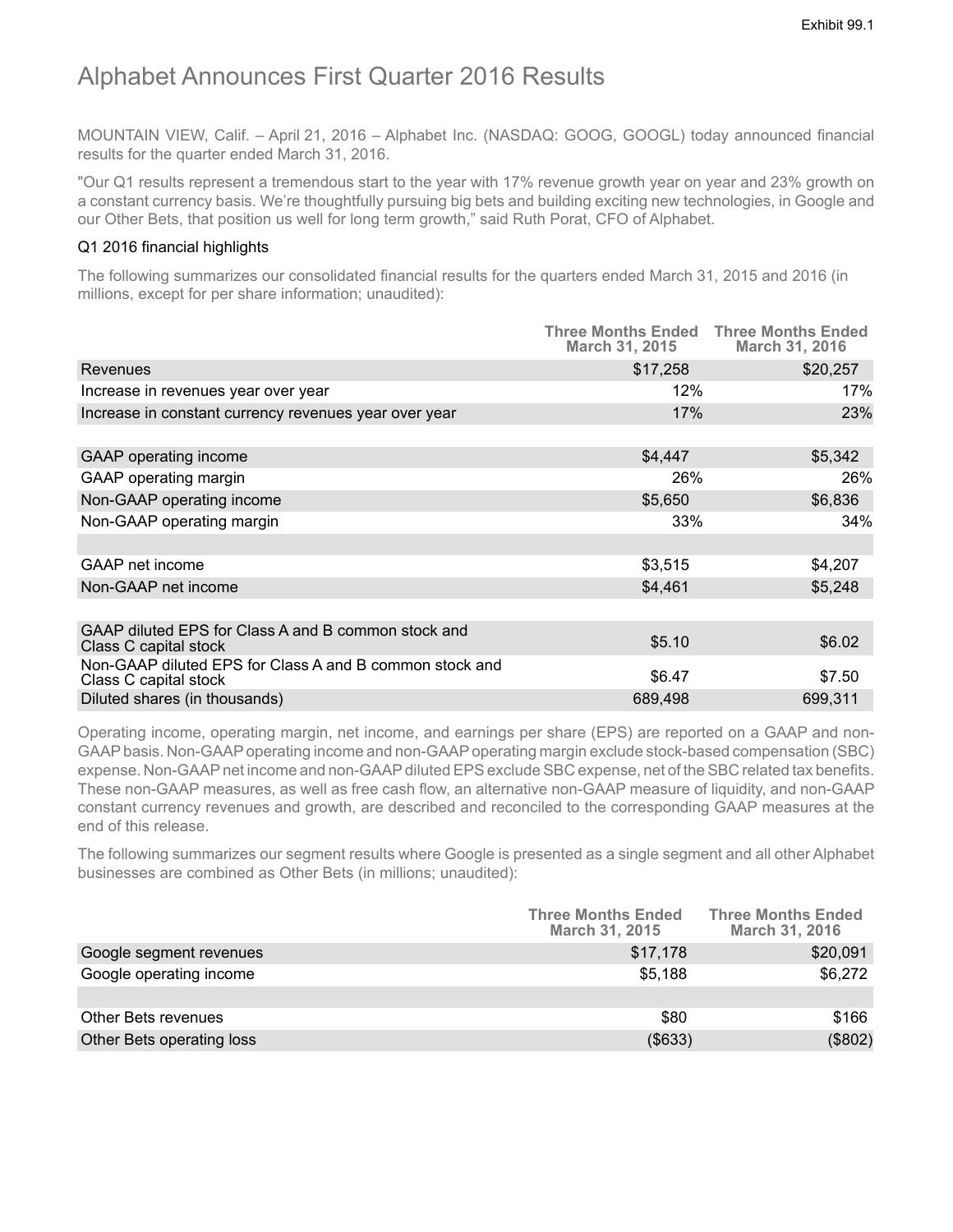# Alphabet Announces First Quarter 2016 Results

MOUNTAIN VIEW, Calif. – April 21, 2016 – Alphabet Inc. (NASDAQ: GOOG, GOOGL) today announced financial results for the quarter ended March 31, 2016.

"Our Q1 results represent a tremendous start to the year with 17% revenue growth year on year and 23% growth on a constant currency basis. We're thoughtfully pursuing big bets and building exciting new technologies, in Google and our Other Bets, that position us well for long term growth," said Ruth Porat, CFO of Alphabet.

# Q1 2016 financial highlights

The following summarizes our consolidated financial results for the quarters ended March 31, 2015 and 2016 (in millions, except for per share information; unaudited):

|                                                                                  | <b>Three Months Ended Three Months Ended</b><br><b>March 31, 2015</b> | March 31, 2016 |
|----------------------------------------------------------------------------------|-----------------------------------------------------------------------|----------------|
| Revenues                                                                         | \$17,258                                                              | \$20,257       |
| Increase in revenues year over year                                              | 12%                                                                   | 17%            |
| Increase in constant currency revenues year over year                            | 17%                                                                   | 23%            |
|                                                                                  |                                                                       |                |
| GAAP operating income                                                            | \$4,447                                                               | \$5,342        |
| GAAP operating margin                                                            | 26%                                                                   | 26%            |
| Non-GAAP operating income                                                        | \$5,650                                                               | \$6,836        |
| Non-GAAP operating margin                                                        | 33%                                                                   | 34%            |
|                                                                                  |                                                                       |                |
| GAAP net income                                                                  | \$3,515                                                               | \$4,207        |
| Non-GAAP net income                                                              | \$4,461                                                               | \$5,248        |
|                                                                                  |                                                                       |                |
| GAAP diluted EPS for Class A and B common stock and<br>Class C capital stock     | \$5.10                                                                | \$6.02         |
| Non-GAAP diluted EPS for Class A and B common stock and<br>Class C capital stock | \$6.47                                                                | \$7.50         |
| Diluted shares (in thousands)                                                    | 689,498                                                               | 699,311        |

Operating income, operating margin, net income, and earnings per share (EPS) are reported on a GAAP and non-GAAPbasis. Non-GAAPoperating income and non-GAAPoperating margin exclude stock-based compensation (SBC) expense. Non-GAAP net income and non-GAAP diluted EPS exclude SBC expense, net of the SBC related tax benefits. These non-GAAP measures, as well as free cash flow, an alternative non-GAAP measure of liquidity, and non-GAAP constant currency revenues and growth, are described and reconciled to the corresponding GAAP measures at the end of this release.

The following summarizes our segment results where Google is presented as a single segment and all other Alphabet businesses are combined as Other Bets (in millions; unaudited):

|                           | <b>Three Months Ended</b><br>March 31, 2015 | <b>Three Months Ended</b><br>March 31, 2016 |
|---------------------------|---------------------------------------------|---------------------------------------------|
| Google segment revenues   | \$17,178                                    | \$20,091                                    |
| Google operating income   | \$5,188                                     | \$6,272                                     |
|                           |                                             |                                             |
| Other Bets revenues       | \$80                                        | \$166                                       |
| Other Bets operating loss | ( \$633)                                    | (\$802)                                     |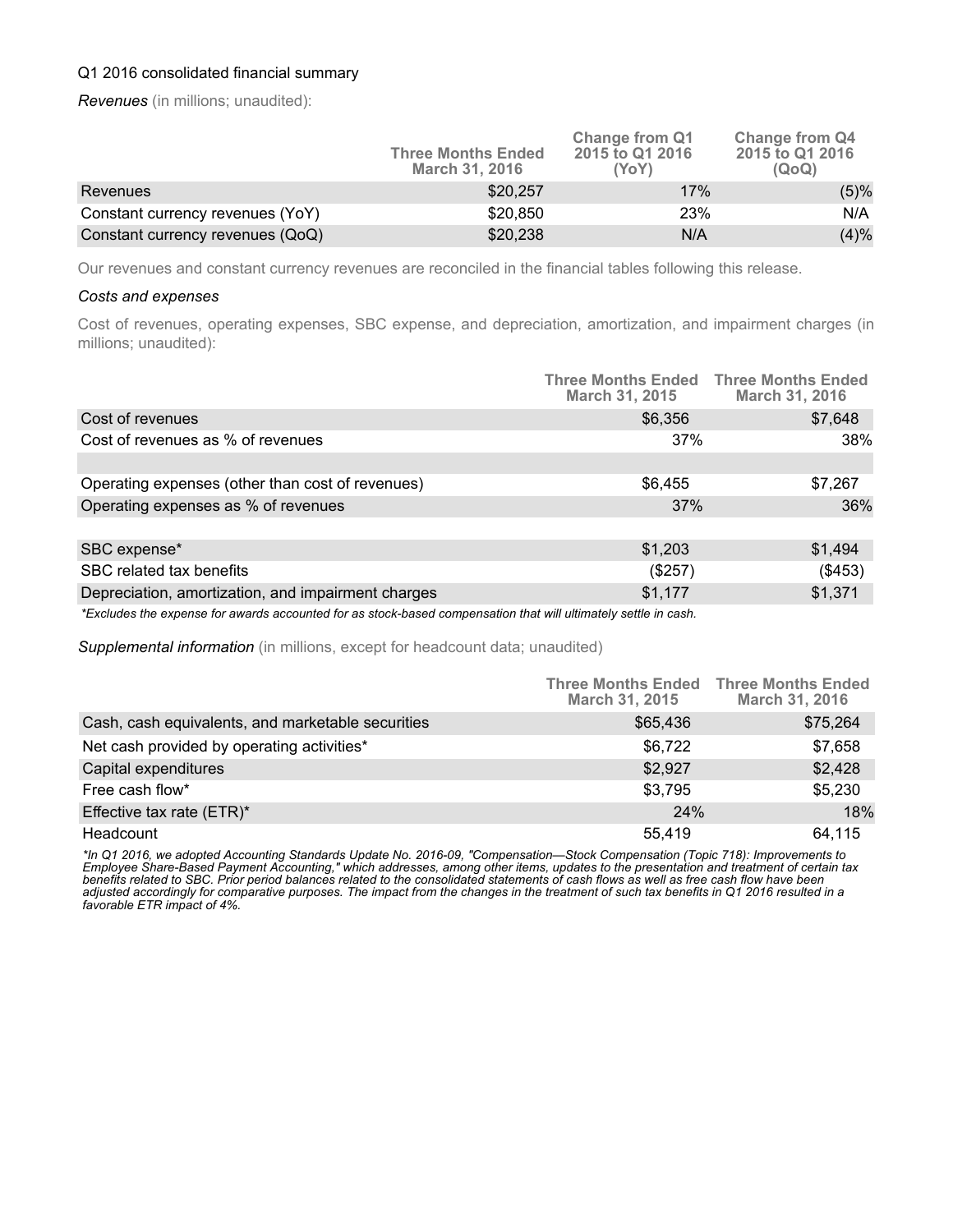# Q1 2016 consolidated financial summary

*Revenues* (in millions; unaudited):

|                                  | <b>Three Months Ended</b><br><b>March 31, 2016</b> | <b>Change from Q1</b><br>2015 to Q1 2016<br>(YoY) | Change from Q4<br>2015 to Q1 2016<br>(QoQ) |
|----------------------------------|----------------------------------------------------|---------------------------------------------------|--------------------------------------------|
| Revenues                         | \$20,257                                           | 17%                                               | (5)%                                       |
| Constant currency revenues (YoY) | \$20,850                                           | 23%                                               | N/A                                        |
| Constant currency revenues (QoQ) | \$20,238                                           | N/A                                               | (4)%                                       |

Our revenues and constant currency revenues are reconciled in the financial tables following this release.

#### *Costs and expenses*

Cost of revenues, operating expenses, SBC expense, and depreciation, amortization, and impairment charges (in millions; unaudited):

|                                                                                                                 | <b>Three Months Ended Three Months Ended</b><br><b>March 31, 2015</b> | March 31, 2016 |
|-----------------------------------------------------------------------------------------------------------------|-----------------------------------------------------------------------|----------------|
| Cost of revenues                                                                                                | \$6,356                                                               | \$7,648        |
| Cost of revenues as % of revenues                                                                               | 37%                                                                   | 38%            |
|                                                                                                                 |                                                                       |                |
| Operating expenses (other than cost of revenues)                                                                | \$6,455                                                               | \$7,267        |
| Operating expenses as % of revenues                                                                             | 37%                                                                   | 36%            |
|                                                                                                                 |                                                                       |                |
| SBC expense*                                                                                                    | \$1,203                                                               | \$1,494        |
| SBC related tax benefits                                                                                        | $(\$257)$                                                             | (\$453)        |
| Depreciation, amortization, and impairment charges                                                              | \$1,177                                                               | \$1,371        |
| *Evoludes the expense for quiards accounted for as stock based compensation that will ultimately settle in cash |                                                                       |                |

*\*Excludes the expense for awards accounted for as stock-based compensation that will ultimately settle in cash.*

*Supplemental information* (in millions, except for headcount data; unaudited)

|                                                   | <b>March 31, 2015</b> | <b>Three Months Ended Three Months Ended</b><br><b>March 31, 2016</b> |
|---------------------------------------------------|-----------------------|-----------------------------------------------------------------------|
| Cash, cash equivalents, and marketable securities | \$65,436              | \$75,264                                                              |
| Net cash provided by operating activities*        | \$6,722               | \$7,658                                                               |
| Capital expenditures                              | \$2,927               | \$2,428                                                               |
| Free cash flow*                                   | \$3,795               | \$5,230                                                               |
| Effective tax rate (ETR)*                         | 24%                   | 18%                                                                   |
| Headcount                                         | 55.419                | 64.115                                                                |

*\*In Q1 2016, we adopted Accounting Standards Update No. 2016-09, "Compensation—Stock Compensation (Topic 718): Improvements to Employee Share-Based Payment Accounting," which addresses, among other items, updates to the presentation and treatment of certain tax benefits related to SBC. Prior period balances related to the consolidated statements of cash flows as well as free cash flow have been adjusted accordingly for comparative purposes. The impact from the changes in the treatment of such tax benefits in Q1 2016 resulted in a favorable ETR impact of 4%.*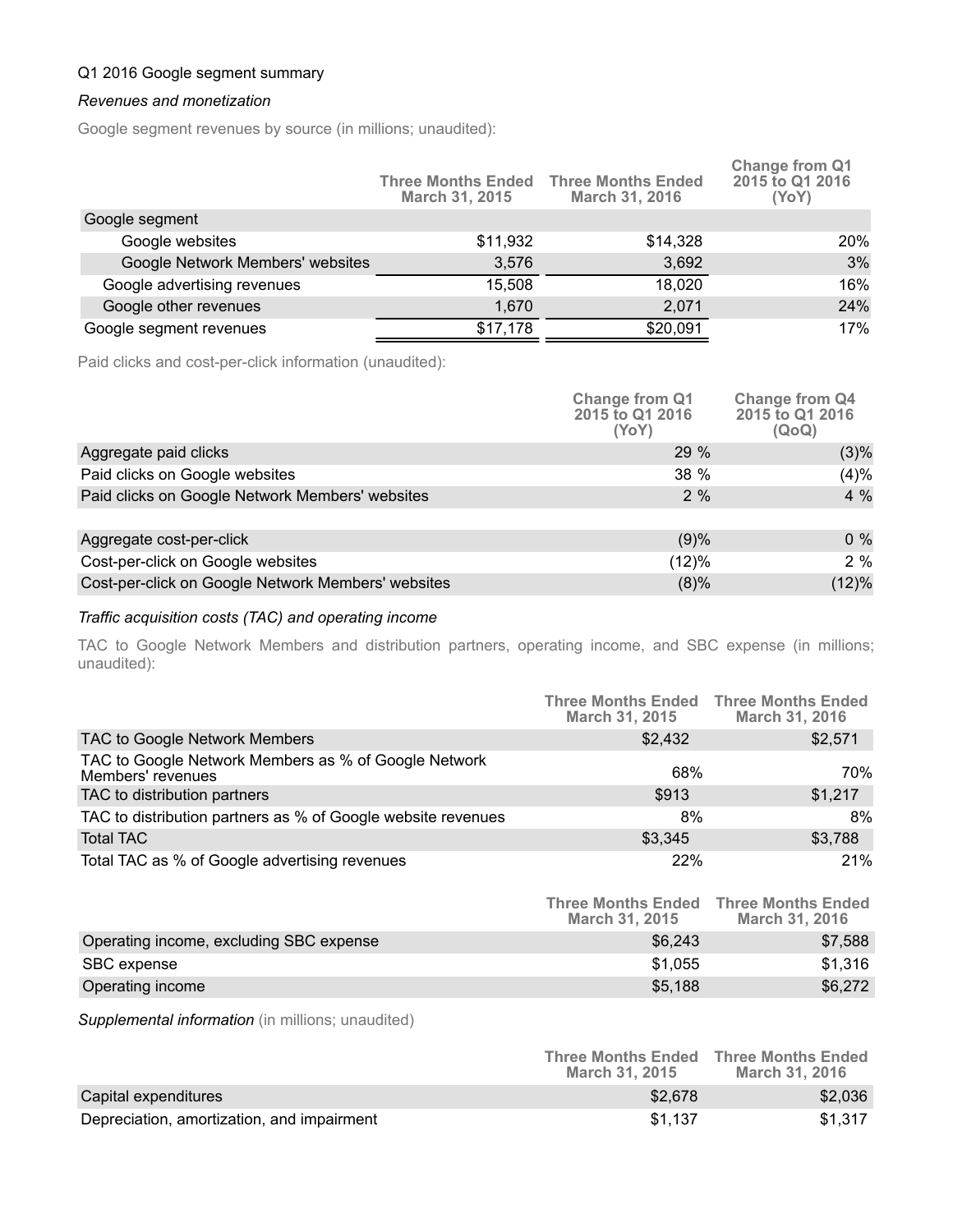# Q1 2016 Google segment summary

#### *Revenues and monetization*

Google segment revenues by source (in millions; unaudited):

|                                  | March 31, 2015 | <b>Three Months Ended Three Months Ended</b><br>March 31, 2016 | Change from Q1<br>2015 to Q1 2016<br>(YoY) |
|----------------------------------|----------------|----------------------------------------------------------------|--------------------------------------------|
| Google segment                   |                |                                                                |                                            |
| Google websites                  | \$11,932       | \$14,328                                                       | 20%                                        |
| Google Network Members' websites | 3,576          | 3,692                                                          | 3%                                         |
| Google advertising revenues      | 15,508         | 18,020                                                         | 16%                                        |
| Google other revenues            | 1,670          | 2,071                                                          | 24%                                        |
| Google segment revenues          | \$17,178       | \$20,091                                                       | 17%                                        |
|                                  |                |                                                                |                                            |

Paid clicks and cost-per-click information (unaudited):

|                                                    | <b>Change from Q1</b><br>2015 to Q1 2016<br>(YoY) | <b>Change from Q4</b><br>2015 to Q1 2016<br>(QoQ) |
|----------------------------------------------------|---------------------------------------------------|---------------------------------------------------|
| Aggregate paid clicks                              | 29 %                                              | $(3)\%$                                           |
| Paid clicks on Google websites                     | 38 %                                              | (4)%                                              |
| Paid clicks on Google Network Members' websites    | 2%                                                | 4 %                                               |
| Aggregate cost-per-click                           | (9)%                                              | $0\%$                                             |
| Cost-per-click on Google websites                  | (12)%                                             | 2%                                                |
| Cost-per-click on Google Network Members' websites | (8)%                                              | (12)%                                             |

# *Traffic acquisition costs (TAC) and operating income*

TAC to Google Network Members and distribution partners, operating income, and SBC expense (in millions; unaudited):

|                                                                           | <b>Three Months Ended Three Months Ended</b><br>March 31, 2015 | March 31, 2016 |
|---------------------------------------------------------------------------|----------------------------------------------------------------|----------------|
| TAC to Google Network Members                                             | \$2,432                                                        | \$2,571        |
| TAC to Google Network Members as % of Google Network<br>Members' revenues | 68%                                                            | 70%            |
| TAC to distribution partners                                              | \$913                                                          | \$1,217        |
| TAC to distribution partners as % of Google website revenues              | 8%                                                             | 8%             |
| <b>Total TAC</b>                                                          | \$3,345                                                        | \$3,788        |
| Total TAC as % of Google advertising revenues                             | 22%                                                            | 21%            |

|                                         | <b>Three Months Ended</b><br><b>March 31, 2015</b> | <b>Three Months Ended</b><br>March 31, 2016 |
|-----------------------------------------|----------------------------------------------------|---------------------------------------------|
| Operating income, excluding SBC expense | \$6.243                                            | \$7.588                                     |
| SBC expense                             | \$1.055                                            | \$1,316                                     |
| Operating income                        | \$5,188                                            | \$6,272                                     |

*Supplemental information* (in millions; unaudited)

|                                            | <b>Three Months Ended</b><br><b>March 31, 2015</b> | <b>Three Months Ended</b><br><b>March 31, 2016</b> |
|--------------------------------------------|----------------------------------------------------|----------------------------------------------------|
| Capital expenditures                       | \$2,678                                            | \$2,036                                            |
| Depreciation, amortization, and impairment | \$1.137                                            | \$1.317                                            |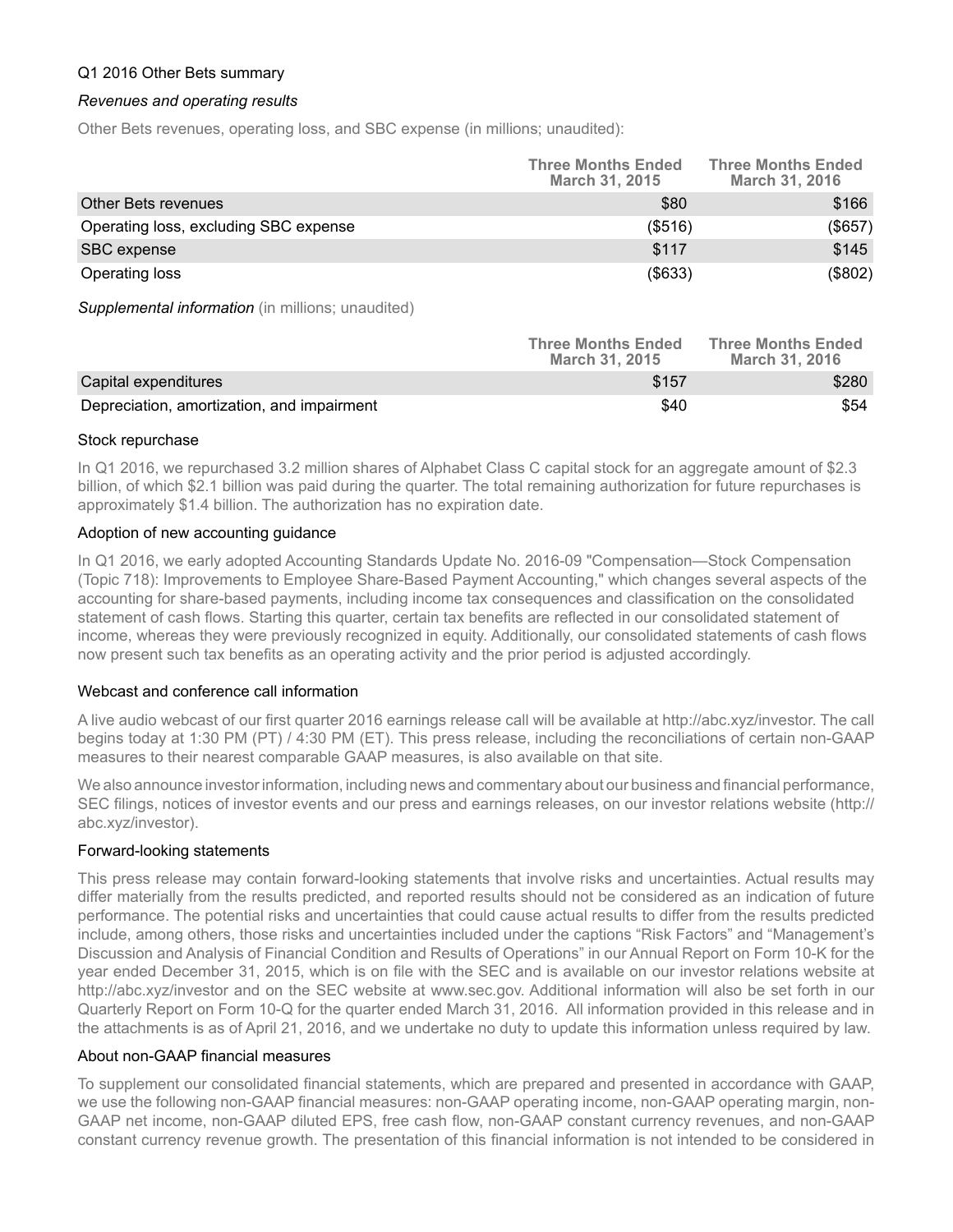#### Q1 2016 Other Bets summary

#### *Revenues and operating results*

Other Bets revenues, operating loss, and SBC expense (in millions; unaudited):

|                                       | <b>Three Months Ended</b><br>March 31, 2015 | <b>Three Months Ended</b><br>March 31, 2016 |
|---------------------------------------|---------------------------------------------|---------------------------------------------|
| Other Bets revenues                   | \$80                                        | \$166                                       |
| Operating loss, excluding SBC expense | $($ \$516)                                  | (\$657)                                     |
| SBC expense                           | \$117                                       | \$145                                       |
| Operating loss                        | $($ \$633 $)$                               | (\$802)                                     |

*Supplemental information* (in millions; unaudited)

|                                            | <b>Three Months Ended</b><br><b>March 31, 2015</b> | <b>Three Months Ended</b><br><b>March 31, 2016</b> |
|--------------------------------------------|----------------------------------------------------|----------------------------------------------------|
| Capital expenditures                       | \$157                                              | \$280                                              |
| Depreciation, amortization, and impairment | \$40                                               | \$54                                               |

#### Stock repurchase

In Q1 2016, we repurchased 3.2 million shares of Alphabet Class C capital stock for an aggregate amount of \$2.3 billion, of which \$2.1 billion was paid during the quarter. The total remaining authorization for future repurchases is approximately \$1.4 billion. The authorization has no expiration date.

### Adoption of new accounting guidance

In Q1 2016, we early adopted Accounting Standards Update No. 2016-09 "Compensation—Stock Compensation (Topic 718): Improvements to Employee Share-Based Payment Accounting," which changes several aspects of the accounting for share-based payments, including income tax consequences and classification on the consolidated statement of cash flows. Starting this quarter, certain tax benefits are reflected in our consolidated statement of income, whereas they were previously recognized in equity. Additionally, our consolidated statements of cash flows now present such tax benefits as an operating activity and the prior period is adjusted accordingly.

# Webcast and conference call information

A live audio webcast of our first quarter 2016 earnings release call will be available at http://abc.xyz/investor. The call begins today at 1:30 PM (PT) / 4:30 PM (ET). This press release, including the reconciliations of certain non-GAAP measures to their nearest comparable GAAP measures, is also available on that site.

We also announce investor information, including news and commentary about our business and financial performance, SEC filings, notices of investor events and our press and earnings releases, on our investor relations website (http:// abc.xyz/investor).

# Forward-looking statements

This press release may contain forward-looking statements that involve risks and uncertainties. Actual results may differ materially from the results predicted, and reported results should not be considered as an indication of future performance. The potential risks and uncertainties that could cause actual results to differ from the results predicted include, among others, those risks and uncertainties included under the captions "Risk Factors" and "Management's Discussion and Analysis of Financial Condition and Results of Operations" in our Annual Report on Form 10-K for the year ended December 31, 2015, which is on file with the SEC and is available on our investor relations website at http://abc.xyz/investor and on the SEC website at www.sec.gov. Additional information will also be set forth in our Quarterly Report on Form 10-Q for the quarter ended March 31, 2016. All information provided in this release and in the attachments is as of April 21, 2016, and we undertake no duty to update this information unless required by law.

#### About non-GAAP financial measures

To supplement our consolidated financial statements, which are prepared and presented in accordance with GAAP, we use the following non-GAAP financial measures: non-GAAP operating income, non-GAAP operating margin, non-GAAP net income, non-GAAP diluted EPS, free cash flow, non-GAAP constant currency revenues, and non-GAAP constant currency revenue growth. The presentation of this financial information is not intended to be considered in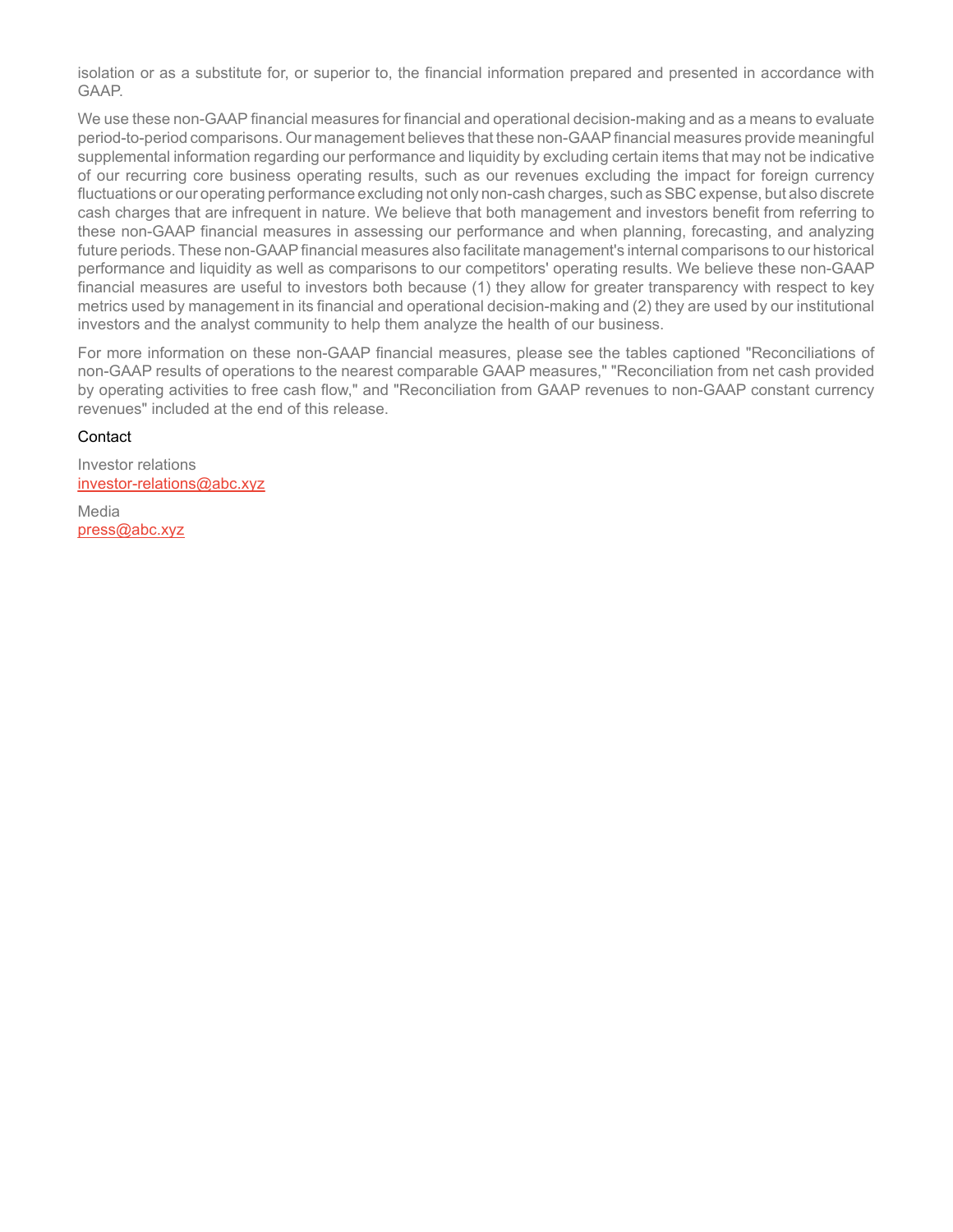isolation or as a substitute for, or superior to, the financial information prepared and presented in accordance with GAAP.

We use these non-GAAP financial measures for financial and operational decision-making and as a means to evaluate period-to-period comparisons. Our management believes that these non-GAAPfinancial measures provide meaningful supplemental information regarding our performance and liquidity by excluding certain items that may not be indicative of our recurring core business operating results, such as our revenues excluding the impact for foreign currency fluctuations or our operating performance excluding not only non-cash charges, such as SBC expense, but also discrete cash charges that are infrequent in nature. We believe that both management and investors benefit from referring to these non-GAAP financial measures in assessing our performance and when planning, forecasting, and analyzing future periods. These non-GAAPfinancial measures also facilitate management's internal comparisons to our historical performance and liquidity as well as comparisons to our competitors' operating results. We believe these non-GAAP financial measures are useful to investors both because (1) they allow for greater transparency with respect to key metrics used by management in its financial and operational decision-making and (2) they are used by our institutional investors and the analyst community to help them analyze the health of our business.

For more information on these non-GAAP financial measures, please see the tables captioned "Reconciliations of non-GAAP results of operations to the nearest comparable GAAP measures," "Reconciliation from net cash provided by operating activities to free cash flow," and "Reconciliation from GAAP revenues to non-GAAP constant currency revenues" included at the end of this release.

### **Contact**

Investor relations investor-relations@abc.xyz

Media press@abc.xyz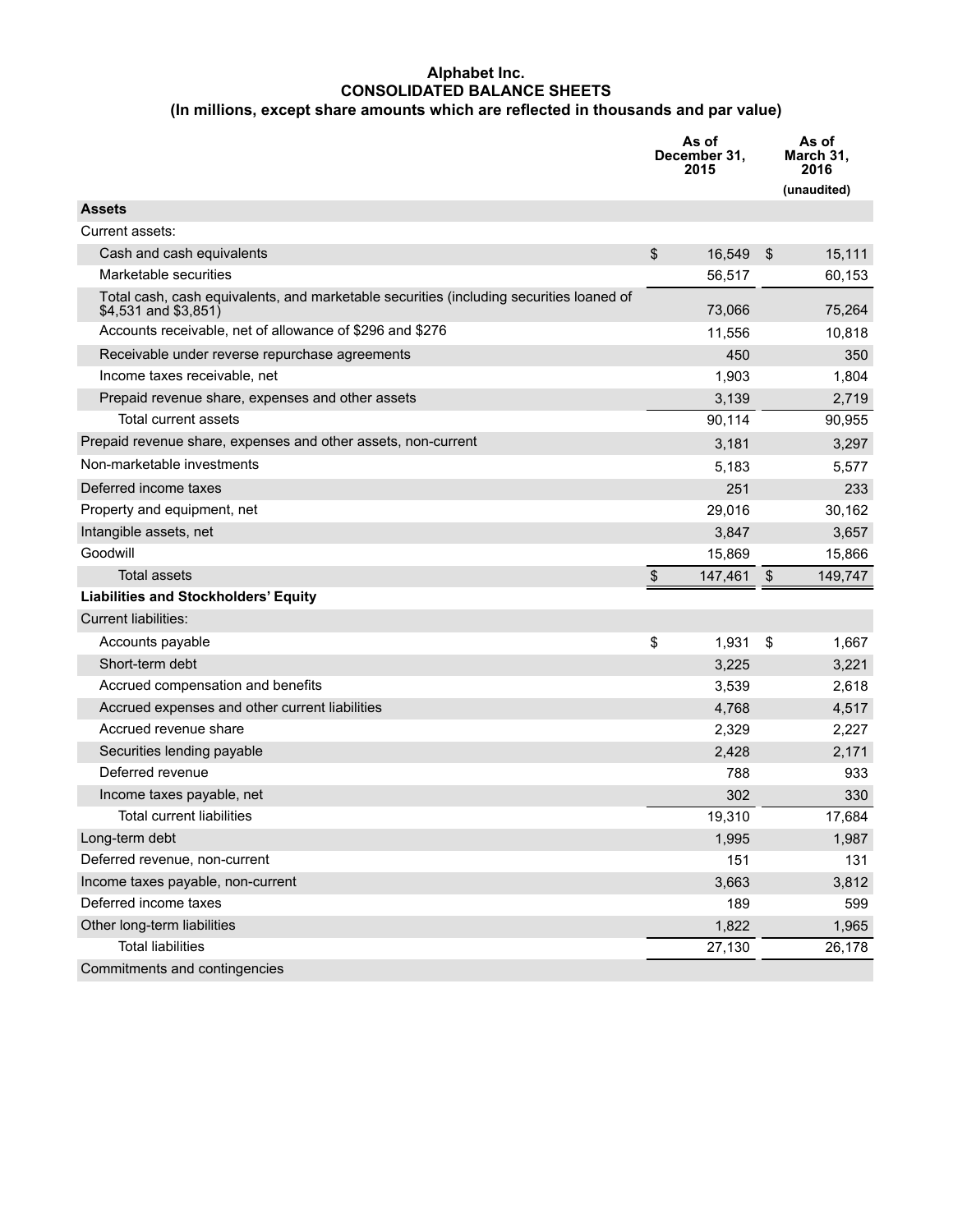#### **Alphabet Inc. CONSOLIDATED BALANCE SHEETS (In millions, except share amounts which are reflected in thousands and par value)**

|                                                                                                                 | As of<br>December 31,<br>2015 |                | As of<br>March 31,<br>2016 |
|-----------------------------------------------------------------------------------------------------------------|-------------------------------|----------------|----------------------------|
|                                                                                                                 |                               |                | (unaudited)                |
| <b>Assets</b>                                                                                                   |                               |                |                            |
| Current assets:                                                                                                 |                               |                |                            |
| Cash and cash equivalents                                                                                       | \$<br>16,549                  | $\mathfrak{S}$ | 15,111                     |
| Marketable securities                                                                                           | 56,517                        |                | 60,153                     |
| Total cash, cash equivalents, and marketable securities (including securities loaned of<br>\$4,531 and \$3,851) | 73,066                        |                | 75,264                     |
| Accounts receivable, net of allowance of \$296 and \$276                                                        | 11,556                        |                | 10,818                     |
| Receivable under reverse repurchase agreements                                                                  | 450                           |                | 350                        |
| Income taxes receivable, net                                                                                    | 1,903                         |                | 1,804                      |
| Prepaid revenue share, expenses and other assets                                                                | 3,139                         |                | 2,719                      |
| <b>Total current assets</b>                                                                                     | 90,114                        |                | 90,955                     |
| Prepaid revenue share, expenses and other assets, non-current                                                   | 3,181                         |                | 3,297                      |
| Non-marketable investments                                                                                      | 5,183                         |                | 5,577                      |
| Deferred income taxes                                                                                           | 251                           |                | 233                        |
| Property and equipment, net                                                                                     | 29,016                        |                | 30,162                     |
| Intangible assets, net                                                                                          | 3,847                         |                | 3,657                      |
| Goodwill                                                                                                        | 15,869                        |                | 15,866                     |
| Total assets                                                                                                    | \$<br>147,461                 | \$             | 149,747                    |
| <b>Liabilities and Stockholders' Equity</b>                                                                     |                               |                |                            |
| <b>Current liabilities:</b>                                                                                     |                               |                |                            |
| Accounts payable                                                                                                | \$<br>1,931                   | \$             | 1,667                      |
| Short-term debt                                                                                                 | 3,225                         |                | 3,221                      |
| Accrued compensation and benefits                                                                               | 3,539                         |                | 2,618                      |
| Accrued expenses and other current liabilities                                                                  | 4,768                         |                | 4,517                      |
| Accrued revenue share                                                                                           | 2,329                         |                | 2,227                      |
| Securities lending payable                                                                                      | 2,428                         |                | 2,171                      |
| Deferred revenue                                                                                                | 788                           |                | 933                        |
| Income taxes payable, net                                                                                       | 302                           |                | 330                        |
| <b>Total current liabilities</b>                                                                                | 19,310                        |                | 17,684                     |
| Long-term debt                                                                                                  | 1,995                         |                | 1,987                      |
| Deferred revenue, non-current                                                                                   | 151                           |                | 131                        |
| Income taxes payable, non-current                                                                               | 3,663                         |                | 3,812                      |
| Deferred income taxes                                                                                           | 189                           |                | 599                        |
| Other long-term liabilities                                                                                     | 1,822                         |                | 1,965                      |
| <b>Total liabilities</b>                                                                                        | 27,130                        |                | 26,178                     |
| Commitments and contingencies                                                                                   |                               |                |                            |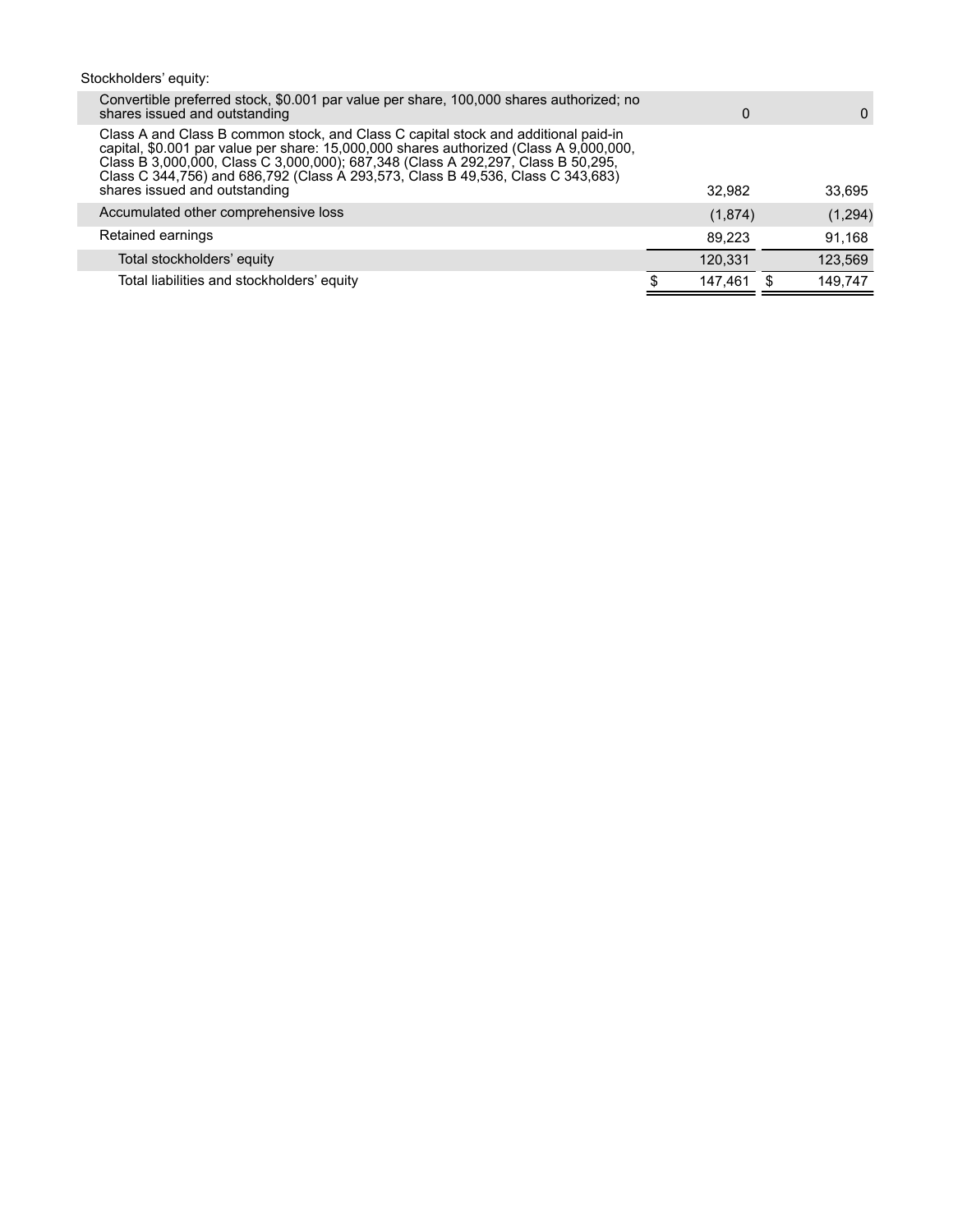# Stockholders' equity:

| Convertible preferred stock, \$0.001 par value per share, 100,000 shares authorized; no<br>shares issued and outstanding                                                                                                                                                                                                                                                             | $\Omega$ | $\Omega$ |
|--------------------------------------------------------------------------------------------------------------------------------------------------------------------------------------------------------------------------------------------------------------------------------------------------------------------------------------------------------------------------------------|----------|----------|
| Class A and Class B common stock, and Class C capital stock and additional paid-in<br>capital, \$0.001 par value per share: 15,000,000 shares authorized (Class A 9,000,000,<br>Class B 3,000,000, Class C 3,000,000); 687,348 (Class A 292,297, Class B 50,295,<br>Class C 344,756) and 686,792 (Class A 293,573, Class B 49,536, Class C 343,683)<br>shares issued and outstanding | 32.982   | 33,695   |
| Accumulated other comprehensive loss                                                                                                                                                                                                                                                                                                                                                 | (1,874)  | (1,294)  |
| Retained earnings                                                                                                                                                                                                                                                                                                                                                                    | 89.223   | 91,168   |
| Total stockholders' equity                                                                                                                                                                                                                                                                                                                                                           | 120.331  | 123,569  |
| Total liabilities and stockholders' equity                                                                                                                                                                                                                                                                                                                                           | 147.461  | 149.747  |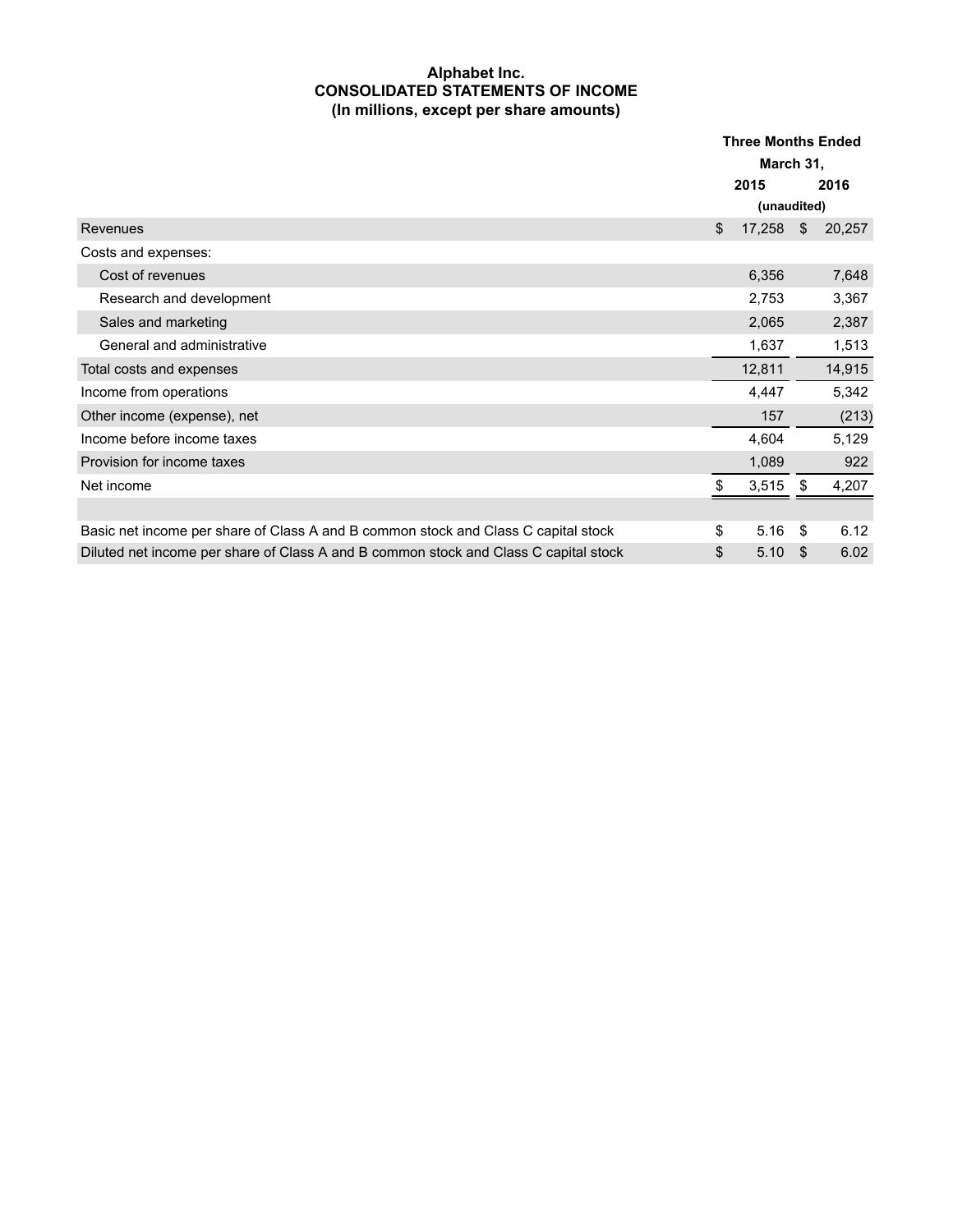### **Alphabet Inc. CONSOLIDATED STATEMENTS OF INCOME (In millions, except per share amounts)**

|                                                                                      | <b>Three Months Ended</b> |             |    |        |
|--------------------------------------------------------------------------------------|---------------------------|-------------|----|--------|
|                                                                                      |                           | March 31,   |    |        |
|                                                                                      | 2015                      |             |    | 2016   |
|                                                                                      |                           | (unaudited) |    |        |
| Revenues                                                                             | \$                        | 17,258      | \$ | 20,257 |
| Costs and expenses:                                                                  |                           |             |    |        |
| Cost of revenues                                                                     |                           | 6,356       |    | 7,648  |
| Research and development                                                             |                           | 2,753       |    | 3,367  |
| Sales and marketing                                                                  |                           | 2,065       |    | 2,387  |
| General and administrative                                                           |                           | 1,637       |    | 1,513  |
| Total costs and expenses                                                             |                           | 12,811      |    | 14,915 |
| Income from operations                                                               |                           | 4,447       |    | 5,342  |
| Other income (expense), net                                                          |                           | 157         |    | (213)  |
| Income before income taxes                                                           |                           | 4,604       |    | 5,129  |
| Provision for income taxes                                                           |                           | 1,089       |    | 922    |
| Net income                                                                           | \$                        | 3,515       | \$ | 4,207  |
|                                                                                      |                           |             |    |        |
| Basic net income per share of Class A and B common stock and Class C capital stock   | \$                        | 5.16        | \$ | 6.12   |
| Diluted net income per share of Class A and B common stock and Class C capital stock | \$                        | 5.10        | \$ | 6.02   |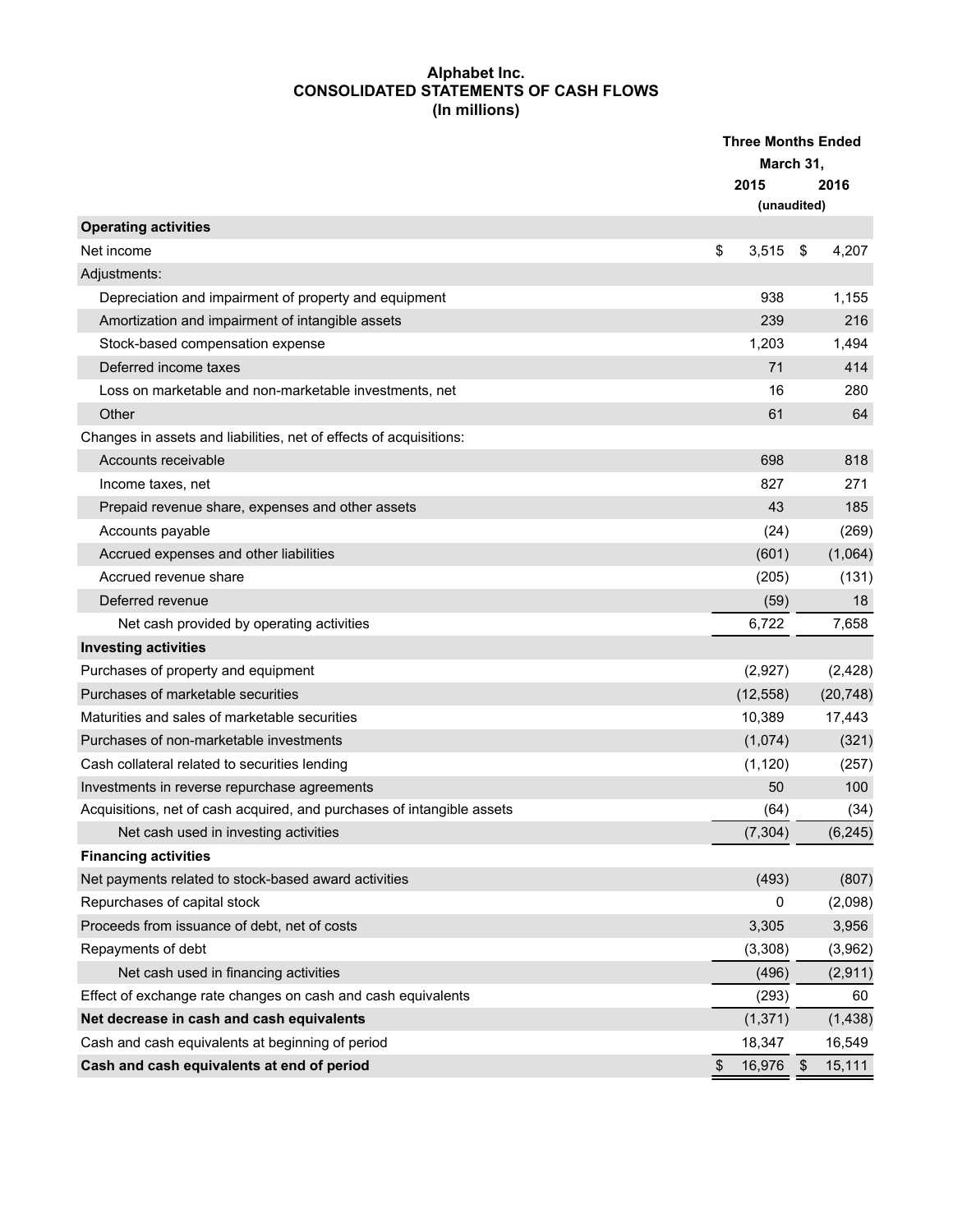## **Alphabet Inc. CONSOLIDATED STATEMENTS OF CASH FLOWS (In millions)**

|                                                                        | <b>Three Months Ended</b><br>March 31, |             |      |           |
|------------------------------------------------------------------------|----------------------------------------|-------------|------|-----------|
|                                                                        |                                        | 2015        |      | 2016      |
|                                                                        |                                        | (unaudited) |      |           |
| <b>Operating activities</b>                                            |                                        |             |      |           |
| Net income                                                             | \$                                     | 3,515       | \$   | 4,207     |
| Adjustments:                                                           |                                        |             |      |           |
| Depreciation and impairment of property and equipment                  |                                        | 938         |      | 1,155     |
| Amortization and impairment of intangible assets                       |                                        | 239         |      | 216       |
| Stock-based compensation expense                                       |                                        | 1,203       |      | 1,494     |
| Deferred income taxes                                                  |                                        | 71          |      | 414       |
| Loss on marketable and non-marketable investments, net                 |                                        | 16          |      | 280       |
| Other                                                                  |                                        | 61          |      | 64        |
| Changes in assets and liabilities, net of effects of acquisitions:     |                                        |             |      |           |
| Accounts receivable                                                    |                                        | 698         |      | 818       |
| Income taxes, net                                                      |                                        | 827         |      | 271       |
| Prepaid revenue share, expenses and other assets                       |                                        | 43          |      | 185       |
| Accounts payable                                                       |                                        | (24)        |      | (269)     |
| Accrued expenses and other liabilities                                 |                                        | (601)       |      | (1,064)   |
| Accrued revenue share                                                  |                                        | (205)       |      | (131)     |
| Deferred revenue                                                       |                                        | (59)        |      | 18        |
| Net cash provided by operating activities                              |                                        | 6,722       |      | 7,658     |
| <b>Investing activities</b>                                            |                                        |             |      |           |
| Purchases of property and equipment                                    |                                        | (2,927)     |      | (2, 428)  |
| Purchases of marketable securities                                     |                                        | (12, 558)   |      | (20, 748) |
| Maturities and sales of marketable securities                          |                                        | 10,389      |      | 17,443    |
| Purchases of non-marketable investments                                |                                        | (1,074)     |      | (321)     |
| Cash collateral related to securities lending                          |                                        | (1, 120)    |      | (257)     |
| Investments in reverse repurchase agreements                           |                                        | 50          |      | 100       |
| Acquisitions, net of cash acquired, and purchases of intangible assets |                                        | (64)        |      | (34)      |
| Net cash used in investing activities                                  |                                        | (7, 304)    |      | (6, 245)  |
| <b>Financing activities</b>                                            |                                        |             |      |           |
| Net payments related to stock-based award activities                   |                                        | (493)       |      | (807)     |
| Repurchases of capital stock                                           |                                        | 0           |      | (2,098)   |
| Proceeds from issuance of debt, net of costs                           |                                        | 3,305       |      | 3,956     |
| Repayments of debt                                                     |                                        | (3,308)     |      | (3,962)   |
| Net cash used in financing activities                                  |                                        | (496)       |      | (2,911)   |
| Effect of exchange rate changes on cash and cash equivalents           |                                        | (293)       |      | 60        |
| Net decrease in cash and cash equivalents                              |                                        | (1, 371)    |      | (1, 438)  |
| Cash and cash equivalents at beginning of period                       |                                        | 18,347      |      | 16,549    |
| Cash and cash equivalents at end of period                             | \$                                     | 16,976      | - \$ | 15,111    |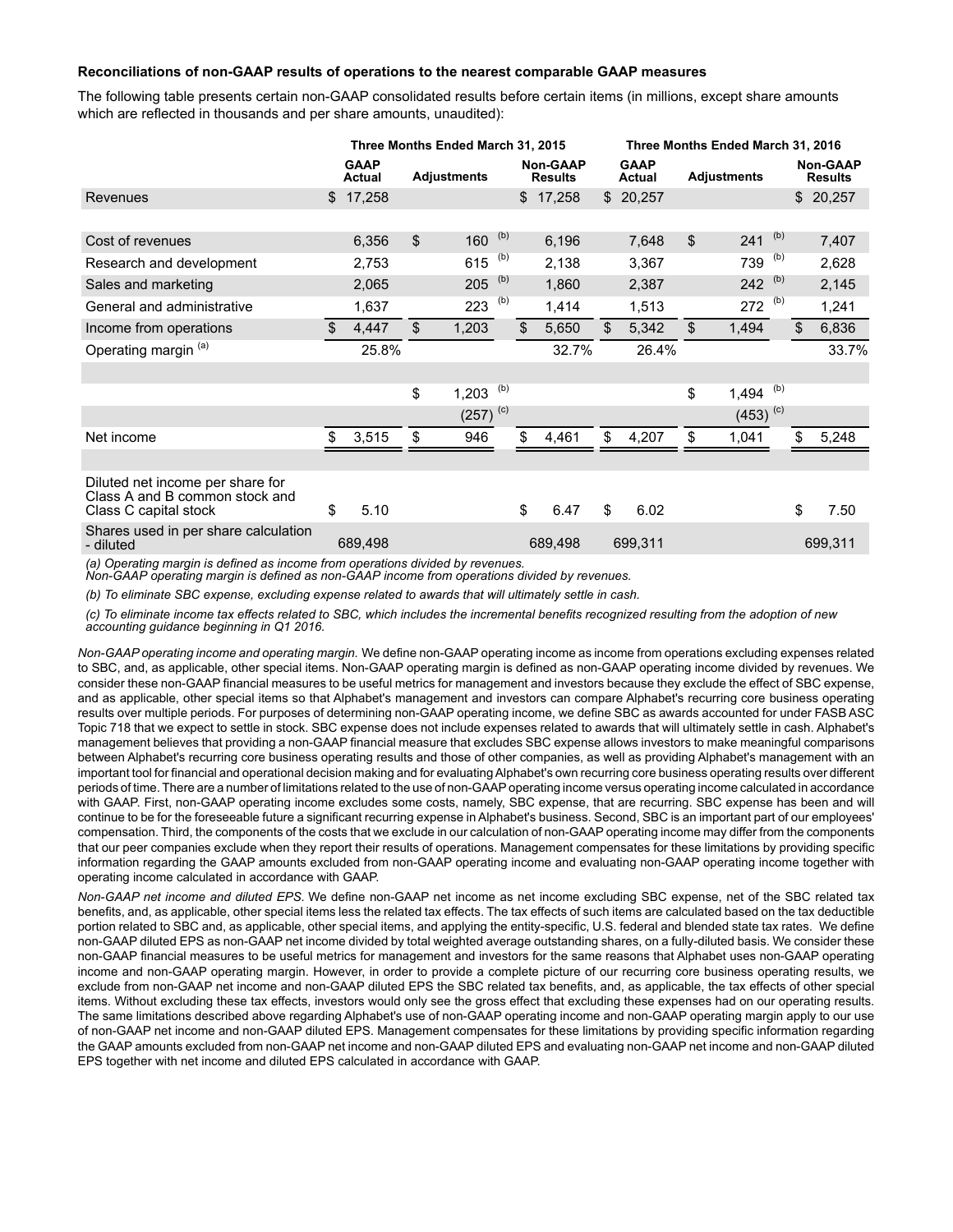#### **Reconciliations of non-GAAP results of operations to the nearest comparable GAAP measures**

The following table presents certain non-GAAP consolidated results before certain items (in millions, except share amounts which are reflected in thousands and per share amounts, unaudited):

|                                                                                             | Three Months Ended March 31, 2015 |                |                    |     |                                   | Three Months Ended March 31, 2016 |                       |                |                    |     |    |                                   |
|---------------------------------------------------------------------------------------------|-----------------------------------|----------------|--------------------|-----|-----------------------------------|-----------------------------------|-----------------------|----------------|--------------------|-----|----|-----------------------------------|
|                                                                                             | <b>GAAP</b><br><b>Actual</b>      |                | <b>Adjustments</b> |     | <b>Non-GAAP</b><br><b>Results</b> |                                   | <b>GAAP</b><br>Actual |                | <b>Adjustments</b> |     |    | <b>Non-GAAP</b><br><b>Results</b> |
| Revenues                                                                                    | \$<br>17,258                      |                |                    |     | \$17,258                          |                                   | \$20,257              |                |                    |     |    | \$20,257                          |
|                                                                                             |                                   |                |                    |     |                                   |                                   |                       |                |                    |     |    |                                   |
| Cost of revenues                                                                            | 6,356                             | $\mathfrak{L}$ | 160 $(b)$          |     | 6,196                             |                                   | 7,648                 | $\mathfrak{L}$ | 241                | (b) |    | 7,407                             |
| Research and development                                                                    | 2,753                             |                | 615                | (b) | 2,138                             |                                   | 3,367                 |                | 739                | (b) |    | 2,628                             |
| Sales and marketing                                                                         | 2,065                             |                | 205                | (b) | 1,860                             |                                   | 2,387                 |                | 242                | (b) |    | 2,145                             |
| General and administrative                                                                  | 1,637                             |                | 223                | (b) | 1,414                             |                                   | 1,513                 |                | 272                | (b) |    | 1,241                             |
| Income from operations                                                                      | \$<br>4,447                       | $\mathfrak{L}$ | 1,203              |     | \$<br>5,650                       | \$                                | 5,342                 | \$             | 1,494              |     | \$ | 6,836                             |
| Operating margin (a)                                                                        | 25.8%                             |                |                    |     | 32.7%                             |                                   | 26.4%                 |                |                    |     |    | 33.7%                             |
|                                                                                             |                                   |                |                    |     |                                   |                                   |                       |                |                    |     |    |                                   |
|                                                                                             |                                   | \$             | 1,203              | (b) |                                   |                                   |                       | \$             | 1,494              | (b) |    |                                   |
|                                                                                             |                                   |                | $(257)^{(c)}$      |     |                                   |                                   |                       |                | $(453)^{(c)}$      |     |    |                                   |
| Net income                                                                                  | 3,515                             | \$             | 946                |     | \$<br>4,461                       | \$                                | 4,207                 | \$             | 1,041              |     | \$ | 5,248                             |
|                                                                                             |                                   |                |                    |     |                                   |                                   |                       |                |                    |     |    |                                   |
| Diluted net income per share for<br>Class A and B common stock and<br>Class C capital stock | \$<br>5.10                        |                |                    |     | \$<br>6.47                        | \$                                | 6.02                  |                |                    |     | \$ | 7.50                              |
| Shares used in per share calculation<br>- diluted                                           | 689,498                           |                |                    |     | 689,498                           |                                   | 699,311               |                |                    |     |    | 699,311                           |

*(a) Operating margin is defined as income from operations divided by revenues.*

*Non-GAAP operating margin is defined as non-GAAP income from operations divided by revenues.*

*(b) To eliminate SBC expense, excluding expense related to awards that will ultimately settle in cash.*

*(c) To eliminate income tax effects related to SBC, which includes the incremental benefits recognized resulting from the adoption of new accounting guidance beginning in Q1 2016.*

*Non-GAAP operating income and operating margin.* We define non-GAAP operating income as income from operations excluding expenses related to SBC, and, as applicable, other special items. Non-GAAP operating margin is defined as non-GAAP operating income divided by revenues. We consider these non-GAAP financial measures to be useful metrics for management and investors because they exclude the effect of SBC expense, and as applicable, other special items so that Alphabet's management and investors can compare Alphabet's recurring core business operating results over multiple periods. For purposes of determining non-GAAP operating income, we define SBC as awards accounted for under FASB ASC Topic 718 that we expect to settle in stock. SBC expense does not include expenses related to awards that will ultimately settle in cash. Alphabet's management believes that providing a non-GAAP financial measure that excludes SBC expense allows investors to make meaningful comparisons between Alphabet's recurring core business operating results and those of other companies, as well as providing Alphabet's management with an important tool for financial and operational decision making and for evaluating Alphabet's own recurring core business operating results over different periods of time. There are a number of limitations related to the use of non-GAAPoperating income versus operating income calculated in accordance with GAAP. First, non-GAAP operating income excludes some costs, namely, SBC expense, that are recurring. SBC expense has been and will continue to be for the foreseeable future a significant recurring expense in Alphabet's business. Second, SBC is an important part of our employees' compensation. Third, the components of the costs that we exclude in our calculation of non-GAAP operating income may differ from the components that our peer companies exclude when they report their results of operations. Management compensates for these limitations by providing specific information regarding the GAAP amounts excluded from non-GAAP operating income and evaluating non-GAAP operating income together with operating income calculated in accordance with GAAP.

*Non-GAAP net income and diluted EPS.* We define non-GAAP net income as net income excluding SBC expense, net of the SBC related tax benefits, and, as applicable, other special items less the related tax effects. The tax effects of such items are calculated based on the tax deductible portion related to SBC and, as applicable, other special items, and applying the entity-specific, U.S. federal and blended state tax rates. We define non-GAAP diluted EPS as non-GAAP net income divided by total weighted average outstanding shares, on a fully-diluted basis. We consider these non-GAAP financial measures to be useful metrics for management and investors for the same reasons that Alphabet uses non-GAAP operating income and non-GAAP operating margin. However, in order to provide a complete picture of our recurring core business operating results, we exclude from non-GAAP net income and non-GAAP diluted EPS the SBC related tax benefits, and, as applicable, the tax effects of other special items. Without excluding these tax effects, investors would only see the gross effect that excluding these expenses had on our operating results. The same limitations described above regarding Alphabet's use of non-GAAP operating income and non-GAAP operating margin apply to our use of non-GAAP net income and non-GAAP diluted EPS. Management compensates for these limitations by providing specific information regarding the GAAP amounts excluded from non-GAAP net income and non-GAAP diluted EPS and evaluating non-GAAP net income and non-GAAP diluted EPS together with net income and diluted EPS calculated in accordance with GAAP.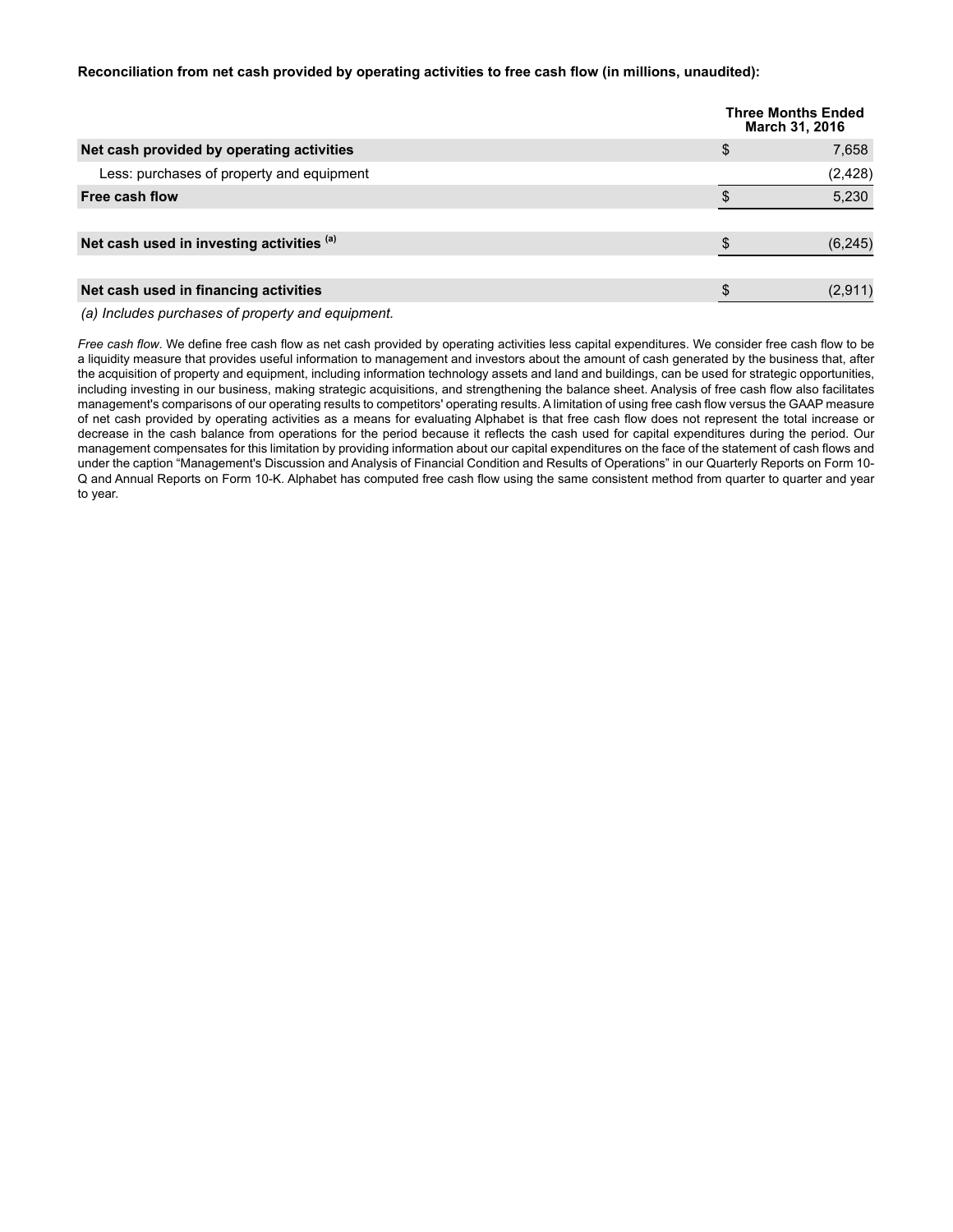#### **Reconciliation from net cash provided by operating activities to free cash flow (in millions, unaudited):**

|                                           | <b>Three Months Ended</b><br>March 31, 2016 |
|-------------------------------------------|---------------------------------------------|
| Net cash provided by operating activities | \$<br>7,658                                 |
| Less: purchases of property and equipment | (2, 428)                                    |
| Free cash flow                            | 5,230                                       |
|                                           |                                             |
| Net cash used in investing activities (a) | (6, 245)                                    |
|                                           |                                             |
| Net cash used in financing activities     | (2,911)                                     |

*(a) Includes purchases of property and equipment.*

*Free cash flow*. We define free cash flow as net cash provided by operating activities less capital expenditures. We consider free cash flow to be a liquidity measure that provides useful information to management and investors about the amount of cash generated by the business that, after the acquisition of property and equipment, including information technology assets and land and buildings, can be used for strategic opportunities, including investing in our business, making strategic acquisitions, and strengthening the balance sheet. Analysis of free cash flow also facilitates management's comparisons of our operating results to competitors' operating results. A limitation of using free cash flow versus the GAAP measure of net cash provided by operating activities as a means for evaluating Alphabet is that free cash flow does not represent the total increase or decrease in the cash balance from operations for the period because it reflects the cash used for capital expenditures during the period. Our management compensates for this limitation by providing information about our capital expenditures on the face of the statement of cash flows and under the caption "Management's Discussion and Analysis of Financial Condition and Results of Operations" in our Quarterly Reports on Form 10- Q and Annual Reports on Form 10-K. Alphabet has computed free cash flow using the same consistent method from quarter to quarter and year to year.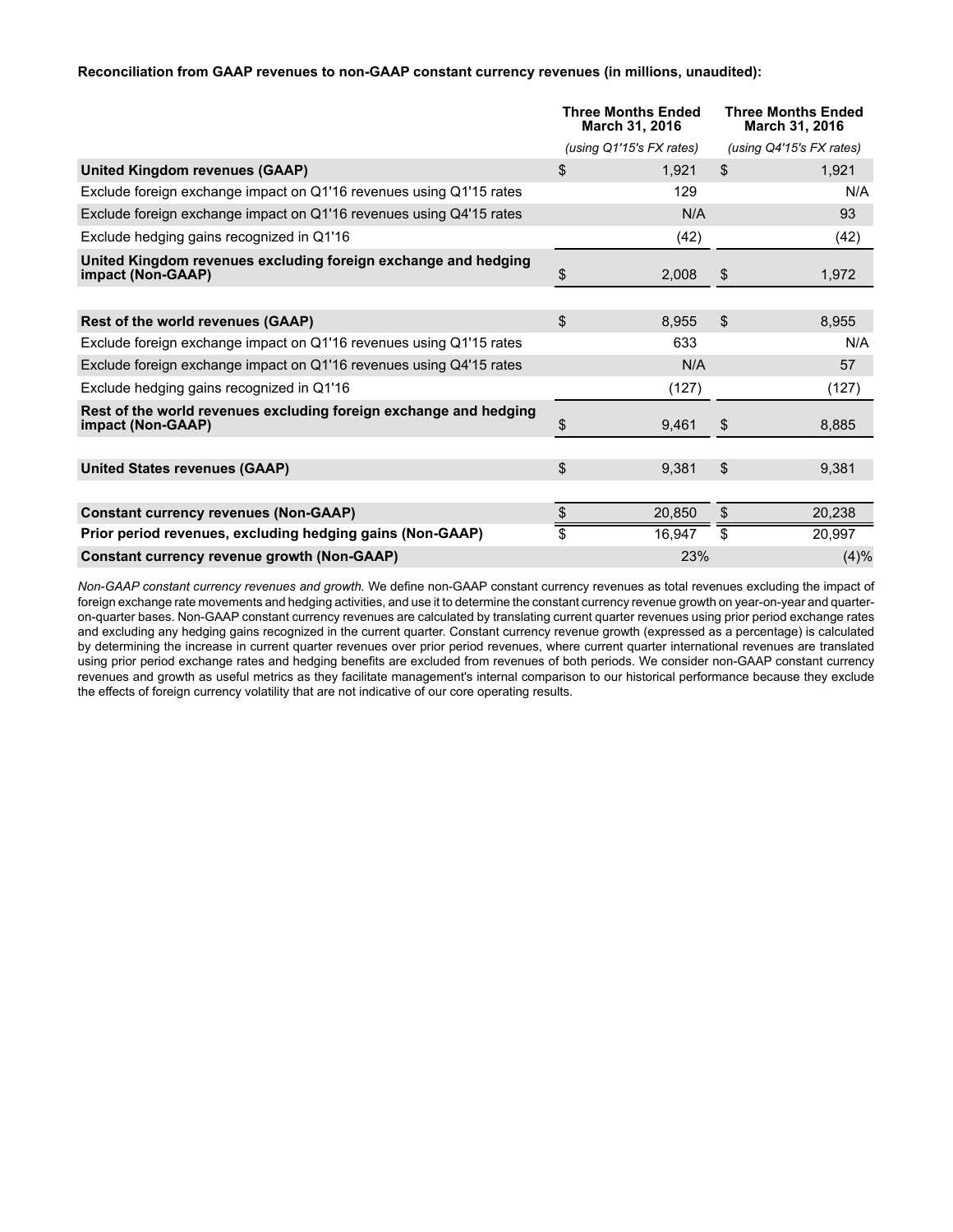#### **Reconciliation from GAAP revenues to non-GAAP constant currency revenues (in millions, unaudited):**

|                                                                                        | Three Months Ended<br>March 31, 2016 |                          | <b>Three Months Ended</b><br>March 31, 2016 |
|----------------------------------------------------------------------------------------|--------------------------------------|--------------------------|---------------------------------------------|
|                                                                                        |                                      | (using Q1'15's FX rates) | (using Q4'15's FX rates)                    |
| United Kingdom revenues (GAAP)                                                         | \$                                   | 1,921                    | \$<br>1,921                                 |
| Exclude foreign exchange impact on Q1'16 revenues using Q1'15 rates                    |                                      | 129                      | N/A                                         |
| Exclude foreign exchange impact on Q1'16 revenues using Q4'15 rates                    |                                      | N/A                      | 93                                          |
| Exclude hedging gains recognized in Q1'16                                              |                                      | (42)                     | (42)                                        |
| United Kingdom revenues excluding foreign exchange and hedging<br>impact (Non-GAAP)    | \$                                   | 2,008                    | \$<br>1.972                                 |
|                                                                                        |                                      |                          |                                             |
| Rest of the world revenues (GAAP)                                                      | \$                                   | 8,955                    | \$<br>8.955                                 |
| Exclude foreign exchange impact on Q1'16 revenues using Q1'15 rates                    |                                      | 633                      | N/A                                         |
| Exclude foreign exchange impact on Q1'16 revenues using Q4'15 rates                    |                                      | N/A                      | 57                                          |
| Exclude hedging gains recognized in Q1'16                                              |                                      | (127)                    | (127)                                       |
| Rest of the world revenues excluding foreign exchange and hedging<br>impact (Non-GAAP) | \$                                   | 9,461                    | \$<br>8,885                                 |
|                                                                                        |                                      |                          |                                             |
| <b>United States revenues (GAAP)</b>                                                   | \$                                   | 9,381                    | \$<br>9,381                                 |
|                                                                                        |                                      |                          |                                             |
| <b>Constant currency revenues (Non-GAAP)</b>                                           | \$                                   | 20,850                   | \$<br>20,238                                |
| Prior period revenues, excluding hedging gains (Non-GAAP)                              | \$                                   | 16,947                   | \$<br>20,997                                |
| <b>Constant currency revenue growth (Non-GAAP)</b>                                     |                                      | 23%                      | (4)%                                        |

*Non-GAAP constant currency revenues and growth.* We define non-GAAP constant currency revenues as total revenues excluding the impact of foreign exchange rate movements and hedging activities, and use it to determine the constant currency revenue growth on year-on-year and quarteron-quarter bases. Non-GAAP constant currency revenues are calculated by translating current quarter revenues using prior period exchange rates and excluding any hedging gains recognized in the current quarter. Constant currency revenue growth (expressed as a percentage) is calculated by determining the increase in current quarter revenues over prior period revenues, where current quarter international revenues are translated using prior period exchange rates and hedging benefits are excluded from revenues of both periods. We consider non-GAAP constant currency revenues and growth as useful metrics as they facilitate management's internal comparison to our historical performance because they exclude the effects of foreign currency volatility that are not indicative of our core operating results.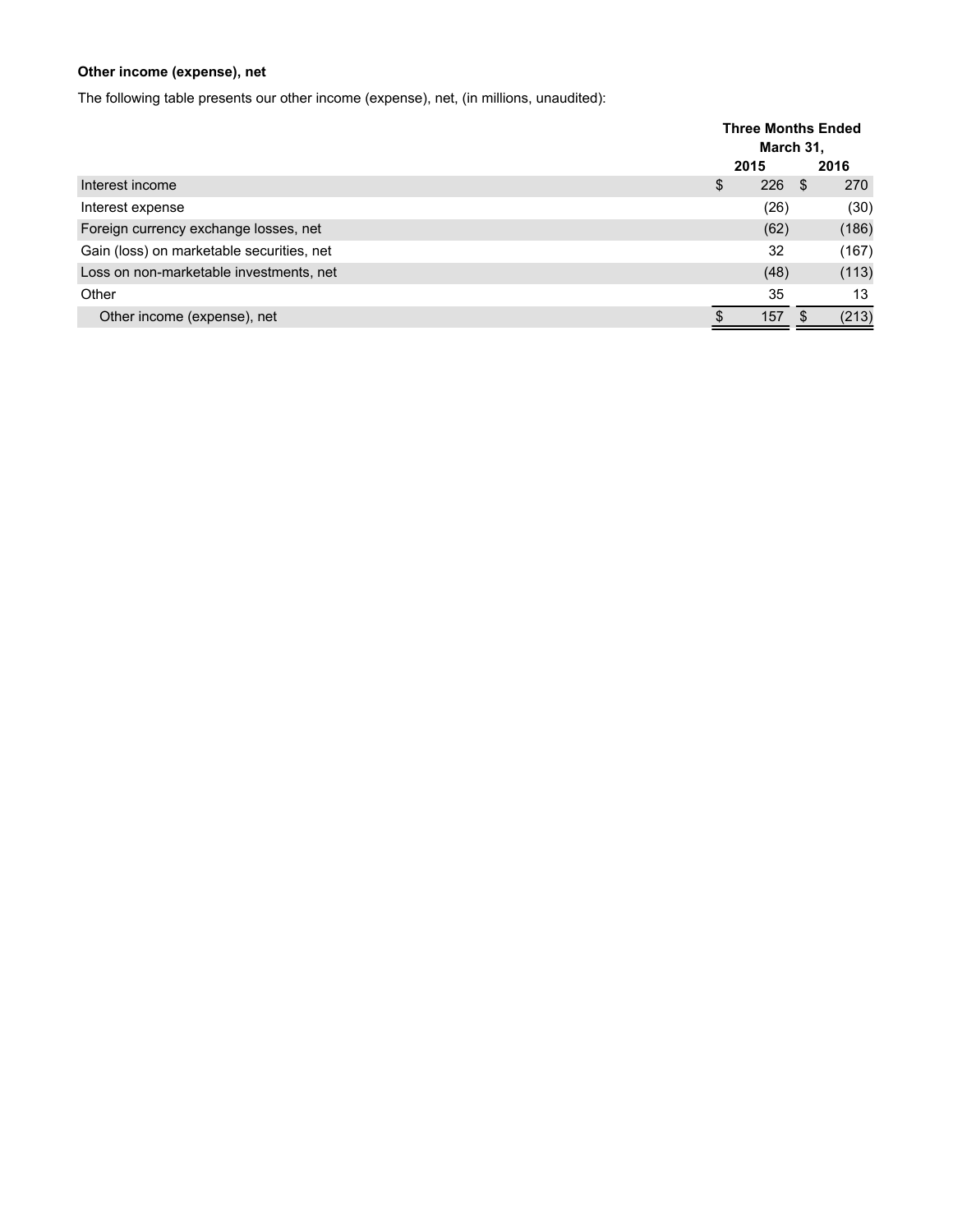## **Other income (expense), net**

The following table presents our other income (expense), net, (in millions, unaudited):

|                                           | <b>Three Months Ended</b><br>March 31, |      |      |       |  |
|-------------------------------------------|----------------------------------------|------|------|-------|--|
|                                           | 2015                                   |      |      | 2016  |  |
| Interest income                           | \$                                     | 226  | - \$ | 270   |  |
| Interest expense                          |                                        | (26) |      | (30)  |  |
| Foreign currency exchange losses, net     |                                        | (62) |      | (186) |  |
| Gain (loss) on marketable securities, net |                                        | 32   |      | (167) |  |
| Loss on non-marketable investments, net   |                                        | (48) |      | (113) |  |
| Other                                     |                                        | 35   |      | 13    |  |
| Other income (expense), net               |                                        | 157  | - \$ | (213) |  |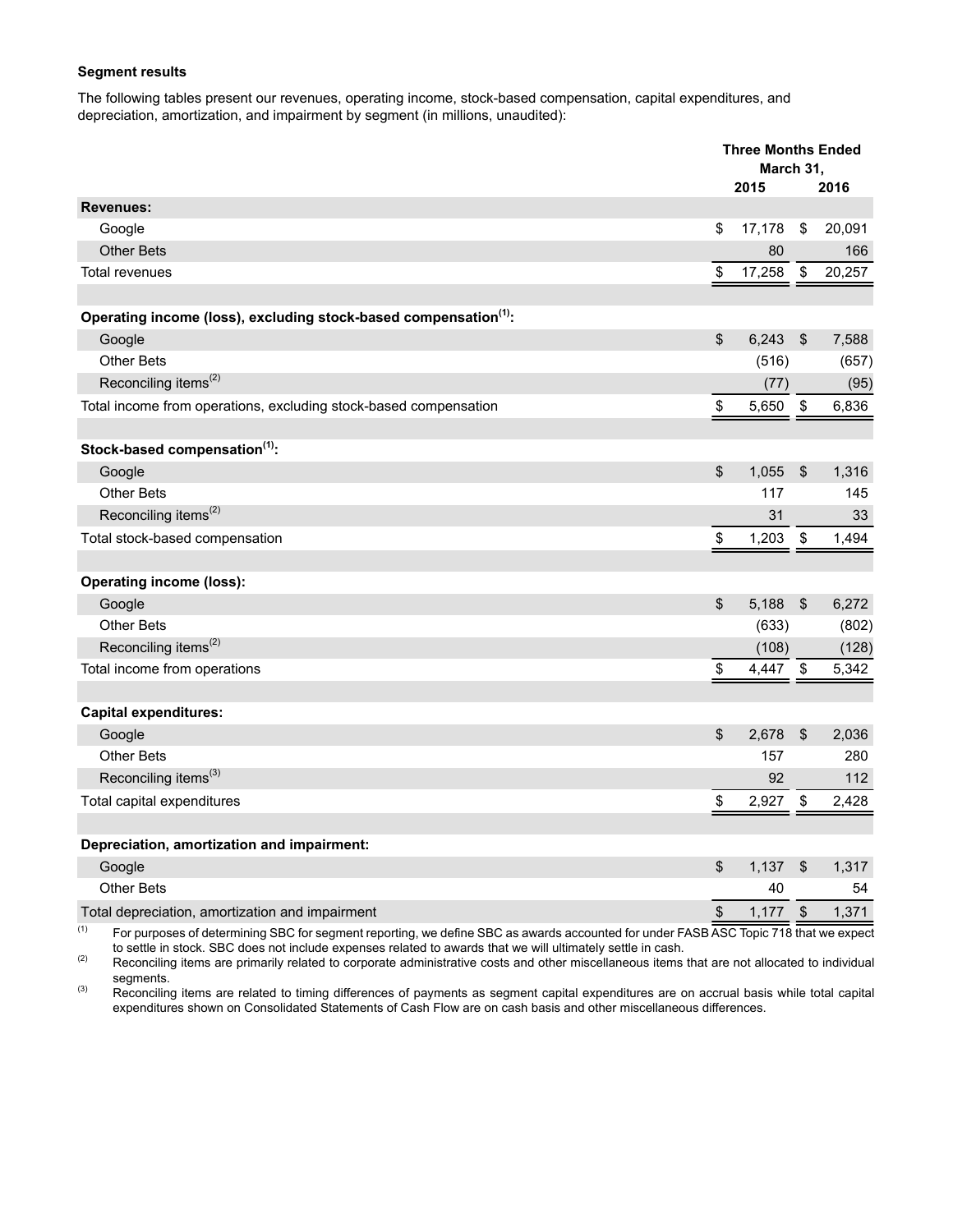#### **Segment results**

The following tables present our revenues, operating income, stock-based compensation, capital expenditures, and depreciation, amortization, and impairment by segment (in millions, unaudited):

|                                                                                                                                                                      |                         | <b>Three Months Ended</b>          |                            |        |
|----------------------------------------------------------------------------------------------------------------------------------------------------------------------|-------------------------|------------------------------------|----------------------------|--------|
|                                                                                                                                                                      | March 31,<br>2015       |                                    |                            | 2016   |
| <b>Revenues:</b>                                                                                                                                                     |                         |                                    |                            |        |
| Google                                                                                                                                                               | \$                      | 17,178                             | \$                         | 20,091 |
| <b>Other Bets</b>                                                                                                                                                    |                         | 80                                 |                            | 166    |
| <b>Total revenues</b>                                                                                                                                                | \$                      | 17,258                             | $\boldsymbol{\mathsf{\$}}$ | 20,257 |
|                                                                                                                                                                      |                         |                                    |                            |        |
| Operating income (loss), excluding stock-based compensation <sup>(1)</sup> :                                                                                         |                         |                                    |                            |        |
| Google                                                                                                                                                               | $\sqrt[6]{\frac{1}{2}}$ | 6,243                              | $\frac{1}{2}$              | 7,588  |
| <b>Other Bets</b>                                                                                                                                                    |                         | (516)                              |                            | (657)  |
| Reconciling items <sup>(2)</sup>                                                                                                                                     |                         | (77)                               |                            | (95)   |
| Total income from operations, excluding stock-based compensation                                                                                                     | \$                      | 5,650                              | $\sqrt[6]{\frac{1}{2}}$    | 6,836  |
|                                                                                                                                                                      |                         |                                    |                            |        |
| Stock-based compensation <sup>(1)</sup> :                                                                                                                            |                         |                                    |                            |        |
| Google                                                                                                                                                               | \$                      | 1,055                              | $\frac{1}{2}$              | 1,316  |
| <b>Other Bets</b>                                                                                                                                                    |                         | 117                                |                            | 145    |
| Reconciling items <sup>(2)</sup>                                                                                                                                     |                         | 31                                 |                            | 33     |
| Total stock-based compensation                                                                                                                                       | \$                      | 1,203                              | \$                         | 1,494  |
|                                                                                                                                                                      |                         |                                    |                            |        |
| <b>Operating income (loss):</b>                                                                                                                                      |                         |                                    |                            |        |
| Google                                                                                                                                                               | $\sqrt[6]{\frac{1}{2}}$ | 5,188                              | \$                         | 6,272  |
| <b>Other Bets</b>                                                                                                                                                    |                         | (633)                              |                            | (802)  |
| Reconciling items <sup>(2)</sup>                                                                                                                                     |                         | (108)                              |                            | (128)  |
| Total income from operations                                                                                                                                         | \$                      | 4,447 \$                           |                            | 5,342  |
|                                                                                                                                                                      |                         |                                    |                            |        |
| <b>Capital expenditures:</b>                                                                                                                                         |                         |                                    |                            |        |
| Google                                                                                                                                                               | \$                      | 2,678                              | \$                         | 2,036  |
| <b>Other Bets</b>                                                                                                                                                    |                         | 157                                |                            | 280    |
| Reconciling items <sup>(3)</sup>                                                                                                                                     |                         | 92                                 |                            | 112    |
| Total capital expenditures                                                                                                                                           | \$                      | 2,927                              | \$                         | 2,428  |
|                                                                                                                                                                      |                         |                                    |                            |        |
| Depreciation, amortization and impairment:                                                                                                                           |                         |                                    |                            |        |
| Google                                                                                                                                                               | \$                      | 1,137                              | $\frac{1}{2}$              | 1,317  |
| <b>Other Bets</b>                                                                                                                                                    |                         | 40                                 |                            | 54     |
| Total depreciation, amortization and impairment<br>(1)<br>$F_{\rm{2}}$ and $F_{\rm{2}}$ are $F_{\rm{2}}$ distance in i.e., $\Omega$ DO $F_{\rm{2}}$ and $F_{\rm{2}}$ | \$                      | 1,177<br>0.007<br>$\overline{7.0}$ | $\boldsymbol{\$}$          | 1,371  |

 $^{(1)}$  For purposes of determining SBC for segment reporting, we define SBC as awards accounted for under FASB ASC Topic 718 that we expect to settle in stock. SBC does not include expenses related to awards that we will ultimately settle in cash.

(2) Reconciling items are primarily related to corporate administrative costs and other miscellaneous items that are not allocated to individual segments.

<sup>(3)</sup> Reconciling items are related to timing differences of payments as segment capital expenditures are on accrual basis while total capital expenditures shown on Consolidated Statements of Cash Flow are on cash basis and other miscellaneous differences.